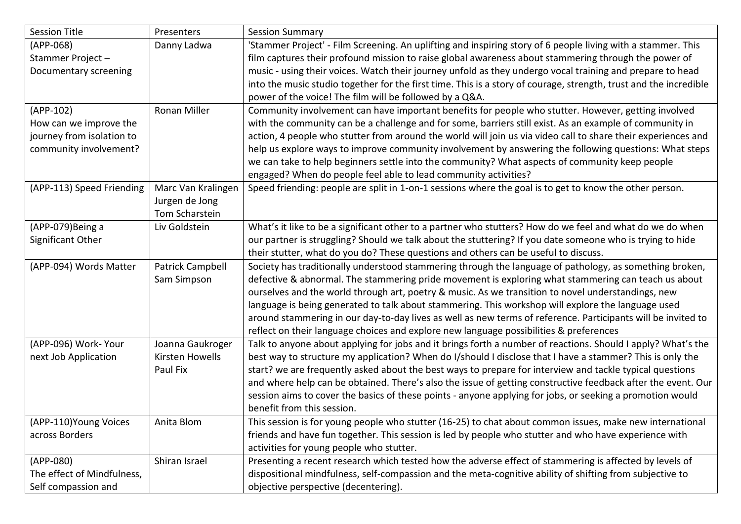| <b>Session Title</b>       | Presenters          | <b>Session Summary</b>                                                                                            |
|----------------------------|---------------------|-------------------------------------------------------------------------------------------------------------------|
| $(APP-068)$                | Danny Ladwa         | 'Stammer Project' - Film Screening. An uplifting and inspiring story of 6 people living with a stammer. This      |
| Stammer Project-           |                     | film captures their profound mission to raise global awareness about stammering through the power of              |
| Documentary screening      |                     | music - using their voices. Watch their journey unfold as they undergo vocal training and prepare to head         |
|                            |                     | into the music studio together for the first time. This is a story of courage, strength, trust and the incredible |
|                            |                     | power of the voice! The film will be followed by a Q&A.                                                           |
| (APP-102)                  | <b>Ronan Miller</b> | Community involvement can have important benefits for people who stutter. However, getting involved               |
| How can we improve the     |                     | with the community can be a challenge and for some, barriers still exist. As an example of community in           |
| journey from isolation to  |                     | action, 4 people who stutter from around the world will join us via video call to share their experiences and     |
| community involvement?     |                     | help us explore ways to improve community involvement by answering the following questions: What steps            |
|                            |                     | we can take to help beginners settle into the community? What aspects of community keep people                    |
|                            |                     | engaged? When do people feel able to lead community activities?                                                   |
| (APP-113) Speed Friending  | Marc Van Kralingen  | Speed friending: people are split in 1-on-1 sessions where the goal is to get to know the other person.           |
|                            | Jurgen de Jong      |                                                                                                                   |
|                            | Tom Scharstein      |                                                                                                                   |
| (APP-079)Being a           | Liv Goldstein       | What's it like to be a significant other to a partner who stutters? How do we feel and what do we do when         |
| Significant Other          |                     | our partner is struggling? Should we talk about the stuttering? If you date someone who is trying to hide         |
|                            |                     | their stutter, what do you do? These questions and others can be useful to discuss.                               |
| (APP-094) Words Matter     | Patrick Campbell    | Society has traditionally understood stammering through the language of pathology, as something broken,           |
|                            | Sam Simpson         | defective & abnormal. The stammering pride movement is exploring what stammering can teach us about               |
|                            |                     | ourselves and the world through art, poetry & music. As we transition to novel understandings, new                |
|                            |                     | language is being generated to talk about stammering. This workshop will explore the language used                |
|                            |                     | around stammering in our day-to-day lives as well as new terms of reference. Participants will be invited to      |
|                            |                     | reflect on their language choices and explore new language possibilities & preferences                            |
| (APP-096) Work- Your       | Joanna Gaukroger    | Talk to anyone about applying for jobs and it brings forth a number of reactions. Should I apply? What's the      |
| next Job Application       | Kirsten Howells     | best way to structure my application? When do I/should I disclose that I have a stammer? This is only the         |
|                            | Paul Fix            | start? we are frequently asked about the best ways to prepare for interview and tackle typical questions          |
|                            |                     | and where help can be obtained. There's also the issue of getting constructive feedback after the event. Our      |
|                            |                     | session aims to cover the basics of these points - anyone applying for jobs, or seeking a promotion would         |
|                            |                     | benefit from this session.                                                                                        |
| (APP-110) Young Voices     | Anita Blom          | This session is for young people who stutter (16-25) to chat about common issues, make new international          |
| across Borders             |                     | friends and have fun together. This session is led by people who stutter and who have experience with             |
|                            |                     | activities for young people who stutter.                                                                          |
| (APP-080)                  | Shiran Israel       | Presenting a recent research which tested how the adverse effect of stammering is affected by levels of           |
| The effect of Mindfulness, |                     | dispositional mindfulness, self-compassion and the meta-cognitive ability of shifting from subjective to          |
| Self compassion and        |                     | objective perspective (decentering).                                                                              |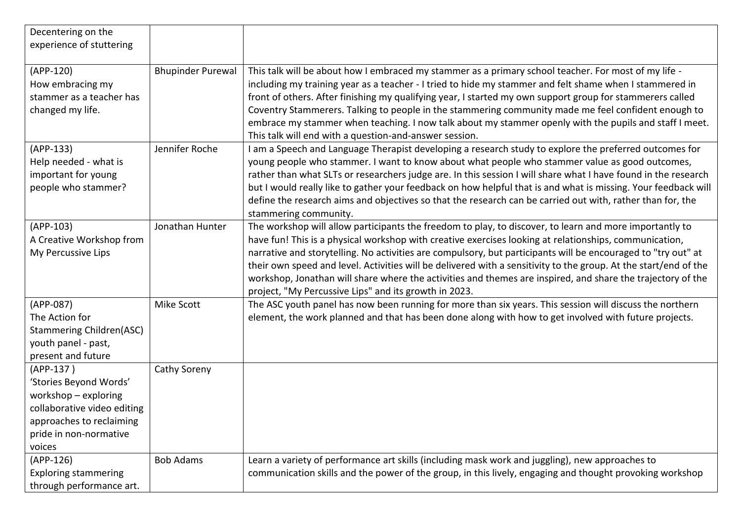| Decentering on the<br>experience of stuttering                                                                                                             |                          |                                                                                                                                                                                                                                                                                                                                                                                                                                                                                                                                                                                                                                |
|------------------------------------------------------------------------------------------------------------------------------------------------------------|--------------------------|--------------------------------------------------------------------------------------------------------------------------------------------------------------------------------------------------------------------------------------------------------------------------------------------------------------------------------------------------------------------------------------------------------------------------------------------------------------------------------------------------------------------------------------------------------------------------------------------------------------------------------|
|                                                                                                                                                            |                          |                                                                                                                                                                                                                                                                                                                                                                                                                                                                                                                                                                                                                                |
| $(APP-120)$<br>How embracing my<br>stammer as a teacher has<br>changed my life.                                                                            | <b>Bhupinder Purewal</b> | This talk will be about how I embraced my stammer as a primary school teacher. For most of my life -<br>including my training year as a teacher - I tried to hide my stammer and felt shame when I stammered in<br>front of others. After finishing my qualifying year, I started my own support group for stammerers called<br>Coventry Stammerers. Talking to people in the stammering community made me feel confident enough to<br>embrace my stammer when teaching. I now talk about my stammer openly with the pupils and staff I meet.<br>This talk will end with a question-and-answer session.                        |
| $(APP-133)$<br>Help needed - what is<br>important for young<br>people who stammer?                                                                         | Jennifer Roche           | am a Speech and Language Therapist developing a research study to explore the preferred outcomes for<br>young people who stammer. I want to know about what people who stammer value as good outcomes,<br>rather than what SLTs or researchers judge are. In this session I will share what I have found in the research<br>but I would really like to gather your feedback on how helpful that is and what is missing. Your feedback will<br>define the research aims and objectives so that the research can be carried out with, rather than for, the<br>stammering community.                                              |
| $(APP-103)$<br>A Creative Workshop from<br>My Percussive Lips                                                                                              | Jonathan Hunter          | The workshop will allow participants the freedom to play, to discover, to learn and more importantly to<br>have fun! This is a physical workshop with creative exercises looking at relationships, communication,<br>narrative and storytelling. No activities are compulsory, but participants will be encouraged to "try out" at<br>their own speed and level. Activities will be delivered with a sensitivity to the group. At the start/end of the<br>workshop, Jonathan will share where the activities and themes are inspired, and share the trajectory of the<br>project, "My Percussive Lips" and its growth in 2023. |
| (APP-087)<br>The Action for<br><b>Stammering Children(ASC)</b><br>youth panel - past,<br>present and future                                                | Mike Scott               | The ASC youth panel has now been running for more than six years. This session will discuss the northern<br>element, the work planned and that has been done along with how to get involved with future projects.                                                                                                                                                                                                                                                                                                                                                                                                              |
| (APP-137)<br>'Stories Beyond Words'<br>workshop - exploring<br>collaborative video editing<br>approaches to reclaiming<br>pride in non-normative<br>voices | Cathy Soreny             |                                                                                                                                                                                                                                                                                                                                                                                                                                                                                                                                                                                                                                |
| $(APP-126)$<br><b>Exploring stammering</b><br>through performance art.                                                                                     | <b>Bob Adams</b>         | Learn a variety of performance art skills (including mask work and juggling), new approaches to<br>communication skills and the power of the group, in this lively, engaging and thought provoking workshop                                                                                                                                                                                                                                                                                                                                                                                                                    |